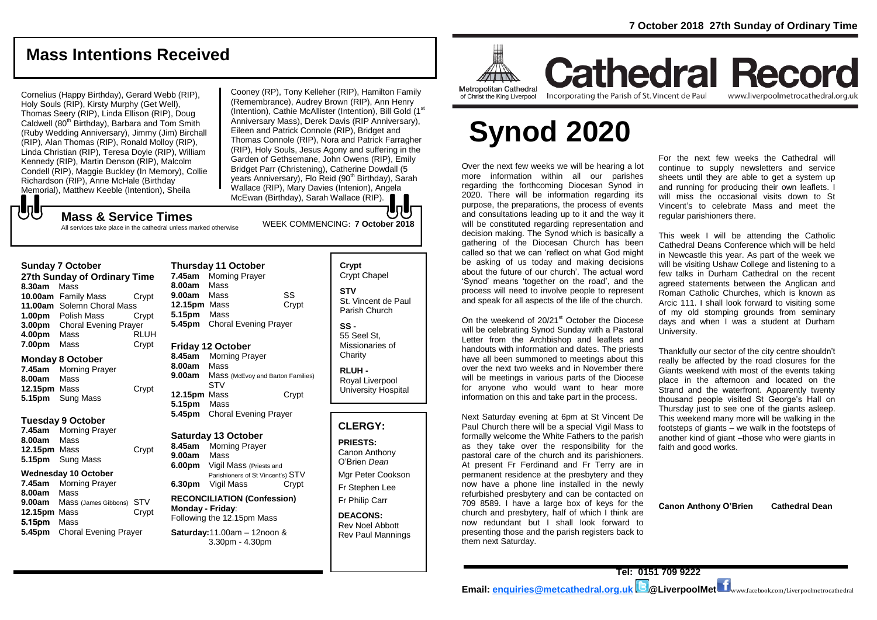# **Mass Intentions Received**

Cornelius (Happy Birthday), Gerard Webb (RIP), Holy Souls (RIP), Kirsty Murphy (Get Well), Thomas Seery (RIP), Linda Ellison (RIP), Doug Caldwell (80<sup>th B</sup>irthday), Barbara and Tom Smith (Ruby Wedding Anniversary), Jimmy (Jim) Birchall (RIP), Alan Thomas (RIP), Ronald Molloy (RIP), Linda Christian (RIP), Teresa Doyle (RIP), William Kennedy (RIP), Martin Denson (RIP), Malcolm Condell (RIP), Maggie Buckley (In Memory), Collie Richardson (RIP), Anne McHale (Birthday Memorial), Matthew Keeble (Intention), Sheila

Cooney (RP), Tony Kelleher (RIP), Hamilton Family (Remembrance), Audrey Brown (RIP), Ann Henry (Intention), Cathie McAllister (Intention), Bill Gold (1<sup>st</sup> Anniversary Mass), Derek Davis (RIP Anniversary), Eileen and Patrick Connole (RIP), Bridget and Thomas Connole (RIP), Nora and Patrick Farragher (RIP), Holy Souls, Jesus Agony and suffering in the Garden of Gethsemane, John Owens (RIP), Emily Bridget Parr (Christening), Catherine Dowdall (5 vears Anniversary), Flo Reid (90<sup>th</sup> Birthday), Sarah Wallace (RIP), Mary Davies (Intenion), Angela McEwan (Birthday), Sarah Wallace (RIP).

# **UU**

WEEK COMMENCING: **7 October <sup>2018</sup> Mass & Service Times** All services take place in the cathedral unless marked otherwise

**27th Sunday of Ordinary Time 8.30am** Mass **10.00am** Family Mass Crypt **11.00am** Solemn Choral Mass **1.00pm** Polish Mass Crypt **3.00pm** Choral Evening Prayer **4.00pm** Mass RLUH **7.00pm** Mass Crypt

#### **Monday 8 October**

**7.45am** Morning Prayer **8.00am** Mass **12.15pm** Mass Crypt **5.15pm** Sung Mass

#### **Tuesday 9 October**

**7.45am** Morning Prayer **8.00am** Mass **12.15pm** Mass Crypt **5.15pm** Sung Mass

#### **Wednesday 10 October**

**7.45am** Morning Prayer **8.00am** Mass **9.00am** Mass (James Gibbons) STV **12.15pm** Mass Crypt 5.15pm Mass **5.45pm** Choral Evening Prayer

#### **Thursday 11 October 7.45am** Morning Prayer **8.00am** Mass **9.00am** Mass SS **12.15pm** Mass Crypt **5.15pm** Mass **5.45pm** Choral Evening Prayer **Friday 12 October**

**8.45am** Morning Prayer **8.00am** Mass **9.00am** Mass (McEvoy and Barton Families) STV **12.15pm** Mass Crypt **5.15pm** Mass **5.45pm** Choral Evening Prayer

#### **Saturday 13 October**

**8.45am** Morning Prayer **9.00am** Mass **6.00pm** Vigil Mass (Priests and Parishioners of St Vincent's) STV **6.30pm** Vigil Mass Crypt

**RECONCILIATION (Confession) Monday - Friday**: Following the 12.15pm Mass

**Saturday:**11.00am – 12noon & 3.30pm - 4.30pm

# **Crypt**  Crypt Chapel **STV** St. Vincent de Paul Parish Church

**SS -** 55 Seel St, Missionaries of **Charity** 

**RLUH -** Royal Liverpool University Hospital

### **CLERGY:**

**PRIESTS:**

Canon Anthony O'Brien *Dean* Mgr Peter Cookson Fr Stephen Lee Fr Philip Carr

**DEACONS:** Rev Noel Abbott Rev Paul Mannings



**Cathedral Record** of Christ the King Liverpool

#### Incorporating the Parish of St. Vincent de Paul www.liverpoolmetrocathedral.org.uk

# **Synod 2020**

Over the next few weeks we will be hearing a lot more information within all our parishes regarding the forthcoming Diocesan Synod in 2020. There will be information regarding its purpose, the preparations, the process of events and consultations leading up to it and the way it will be constituted regarding representation and decision making. The Synod which is basically a gathering of the Diocesan Church has been called so that we can 'reflect on what God might be asking of us today and making decisions about the future of our church'. The actual word 'Synod' means 'together on the road', and the process will need to involve people to represent and speak for all aspects of the life of the church.

On the weekend of 20/21<sup>st</sup> October the Diocese will be celebrating Synod Sunday with a Pastoral Letter from the Archbishop and leaflets and handouts with information and dates. The priests have all been summoned to meetings about this over the next two weeks and in November there will be meetings in various parts of the Diocese for anyone who would want to hear more information on this and take part in the process.

Next Saturday evening at 6pm at St Vincent De Paul Church there will be a special Vigil Mass to formally welcome the White Fathers to the parish as they take over the responsibility for the pastoral care of the church and its parishioners. At present Fr Ferdinand and Fr Terry are in permanent residence at the presbytery and they now have a phone line installed in the newly refurbished presbytery and can be contacted on 709 8589. I have a large box of keys for the church and presbytery, half of which I think are now redundant but I shall look forward to presenting those and the parish registers back to them next Saturday.

For the next few weeks the Cathedral will continue to supply newsletters and service sheets until they are able to get a system up and running for producing their own leaflets. I will miss the occasional visits down to St Vincent's to celebrate Mass and meet the regular parishioners there.

This week I will be attending the Catholic Cathedral Deans Conference which will be held in Newcastle this year. As part of the week we will be visiting Ushaw College and listening to a few talks in Durham Cathedral on the recent agreed statements between the Anglican and Roman Catholic Churches, which is known as Arcic 111. I shall look forward to visiting some of my old stomping grounds from seminary days and when I was a student at Durham University.

Thankfully our sector of the city centre shouldn't really be affected by the road closures for the Giants weekend with most of the events taking place in the afternoon and located on the Strand and the waterfront. Apparently twenty thousand people visited St George's Hall on Thursday just to see one of the giants asleep. This weekend many more will be walking in the footsteps of giants – we walk in the footsteps of another kind of giant –those who were giants in faith and good works.

**Canon Anthony O'Brien Cathedral Dean**

**Sunday 7 October**